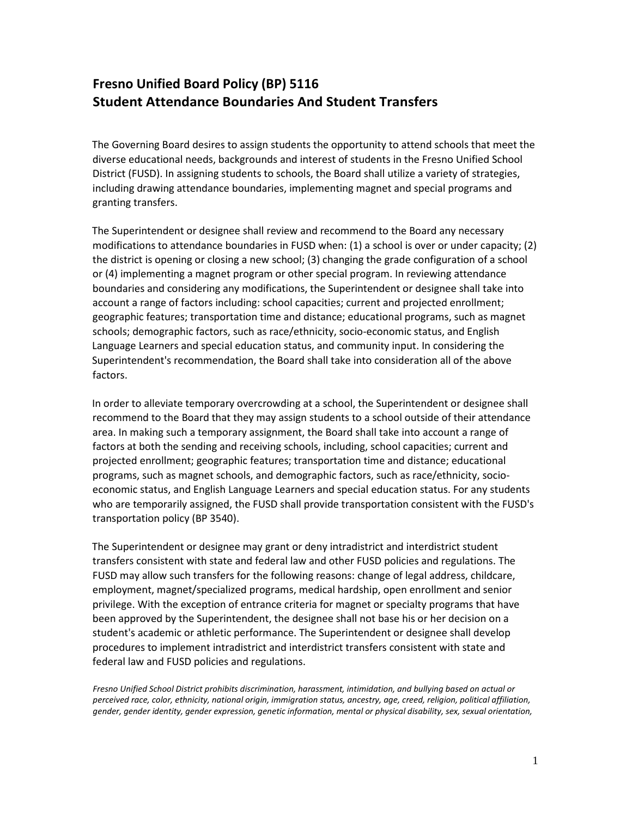## **Fresno Unified Board Policy (BP) 5116 Student Attendance Boundaries And Student Transfers**

The Governing Board desires to assign students the opportunity to attend schools that meet the diverse educational needs, backgrounds and interest of students in the Fresno Unified School District (FUSD). In assigning students to schools, the Board shall utilize a variety of strategies, including drawing attendance boundaries, implementing magnet and special programs and granting transfers.

The Superintendent or designee shall review and recommend to the Board any necessary modifications to attendance boundaries in FUSD when: (1) a school is over or under capacity; (2) the district is opening or closing a new school; (3) changing the grade configuration of a school or (4) implementing a magnet program or other special program. In reviewing attendance boundaries and considering any modifications, the Superintendent or designee shall take into account a range of factors including: school capacities; current and projected enrollment; geographic features; transportation time and distance; educational programs, such as magnet schools; demographic factors, such as race/ethnicity, socio-economic status, and English Language Learners and special education status, and community input. In considering the Superintendent's recommendation, the Board shall take into consideration all of the above factors.

In order to alleviate temporary overcrowding at a school, the Superintendent or designee shall recommend to the Board that they may assign students to a school outside of their attendance area. In making such a temporary assignment, the Board shall take into account a range of factors at both the sending and receiving schools, including, school capacities; current and projected enrollment; geographic features; transportation time and distance; educational programs, such as magnet schools, and demographic factors, such as race/ethnicity, socioeconomic status, and English Language Learners and special education status. For any students who are temporarily assigned, the FUSD shall provide transportation consistent with the FUSD's transportation policy (BP 3540).

The Superintendent or designee may grant or deny intradistrict and interdistrict student transfers consistent with state and federal law and other FUSD policies and regulations. The FUSD may allow such transfers for the following reasons: change of legal address, childcare, employment, magnet/specialized programs, medical hardship, open enrollment and senior privilege. With the exception of entrance criteria for magnet or specialty programs that have been approved by the Superintendent, the designee shall not base his or her decision on a student's academic or athletic performance. The Superintendent or designee shall develop procedures to implement intradistrict and interdistrict transfers consistent with state and federal law and FUSD policies and regulations.

*Fresno Unified School District prohibits discrimination, harassment, intimidation, and bullying based on actual or perceived race, color, ethnicity, national origin, immigration status, ancestry, age, creed, religion, political affiliation, gender, gender identity, gender expression, genetic information, mental or physical disability, sex, sexual orientation,*